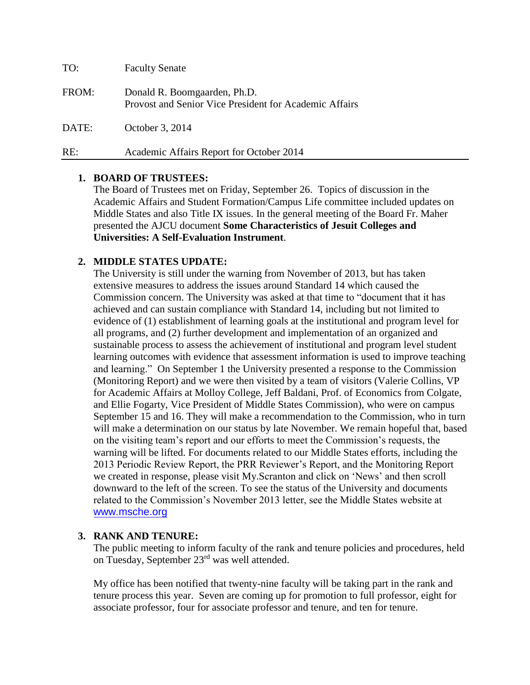| TO:   | <b>Faculty Senate</b>                                                                  |
|-------|----------------------------------------------------------------------------------------|
| FROM: | Donald R. Boomgaarden, Ph.D.<br>Provost and Senior Vice President for Academic Affairs |
| DATE: | October 3, 2014                                                                        |
| RE:   | Academic Affairs Report for October 2014                                               |

### **1. BOARD OF TRUSTEES:**

The Board of Trustees met on Friday, September 26. Topics of discussion in the Academic Affairs and Student Formation/Campus Life committee included updates on Middle States and also Title IX issues. In the general meeting of the Board Fr. Maher presented the AJCU document **Some Characteristics of Jesuit Colleges and Universities: A Self-Evaluation Instrument.** 

### **2. MIDDLE STATES UPDATE:**

The University is still under the warning from November of 2013, but has taken extensive measures to address the issues around Standard 14 which caused the Commission concern. The University was asked at that time to "document that it has achieved and can sustain compliance with Standard 14, including but not limited to evidence of (1) establishment of learning goals at the institutional and program level for all programs, and (2) further development and implementation of an organized and sustainable process to assess the achievement of institutional and program level student learning outcomes with evidence that assessment information is used to improve teaching and learning." On September 1 the University presented a response to the Commission (Monitoring Report) and we were then visited by a team of visitors (Valerie Collins, VP for Academic Affairs at Molloy College, Jeff Baldani, Prof. of Economics from Colgate, and Ellie Fogarty, Vice President of Middle States Commission), who were on campus September 15 and 16. They will make a recommendation to the Commission, who in turn will make a determination on our status by late November. We remain hopeful that, based on the visiting team's report and our efforts to meet the Commission's requests, the warning will be lifted. For documents related to our Middle States efforts, including the 2013 Periodic Review Report, the PRR Reviewer's Report, and the Monitoring Report we created in response, please visit My.Scranton and click on 'News' and then scroll downward to the left of the screen. To see the status of the University and documents related to the Commission's November 2013 letter, see the Middle States website at [www.msche.org](http://www.msche.org/)

#### **3. RANK AND TENURE:**

The public meeting to inform faculty of the rank and tenure policies and procedures, held on Tuesday, September 23rd was well attended.

My office has been notified that twenty-nine faculty will be taking part in the rank and tenure process this year. Seven are coming up for promotion to full professor, eight for associate professor, four for associate professor and tenure, and ten for tenure.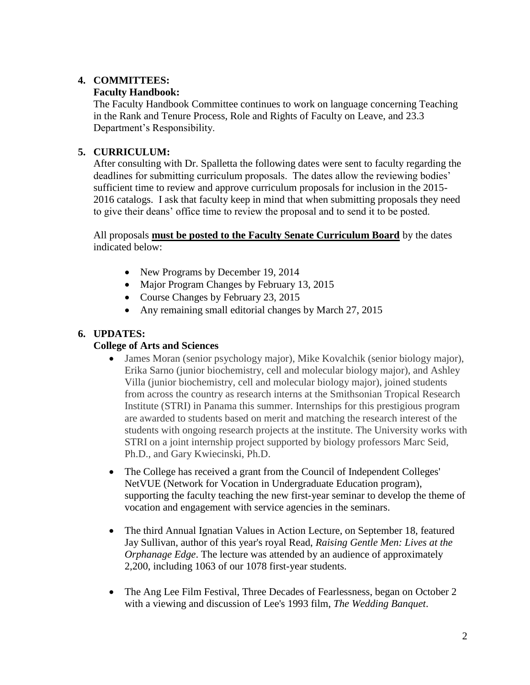# **4. COMMITTEES:**

## **Faculty Handbook:**

The Faculty Handbook Committee continues to work on language concerning Teaching in the Rank and Tenure Process, Role and Rights of Faculty on Leave, and 23.3 Department's Responsibility.

# **5. CURRICULUM:**

After consulting with Dr. Spalletta the following dates were sent to faculty regarding the deadlines for submitting curriculum proposals. The dates allow the reviewing bodies' sufficient time to review and approve curriculum proposals for inclusion in the 2015- 2016 catalogs. I ask that faculty keep in mind that when submitting proposals they need to give their deans' office time to review the proposal and to send it to be posted.

All proposals **must be posted to the Faculty Senate Curriculum Board** by the dates indicated below:

- New Programs by December 19, 2014
- Major Program Changes by February 13, 2015
- Course Changes by February 23, 2015
- Any remaining small editorial changes by March 27, 2015

# **6. UPDATES:**

## **College of Arts and Sciences**

- James Moran (senior psychology major), Mike Kovalchik (senior biology major), Erika Sarno (junior biochemistry, cell and molecular biology major), and Ashley Villa (junior biochemistry, cell and molecular biology major), joined students from across the country as research interns at the Smithsonian Tropical Research Institute (STRI) in Panama this summer. Internships for this prestigious program are awarded to students based on merit and matching the research interest of the students with ongoing research projects at the institute. The University works with STRI on a joint internship project supported by biology professors Marc Seid, Ph.D., and Gary Kwiecinski, Ph.D.
- The College has received a grant from the Council of Independent Colleges' NetVUE (Network for Vocation in Undergraduate Education program), supporting the faculty teaching the new first-year seminar to develop the theme of vocation and engagement with service agencies in the seminars.
- The third Annual Ignatian Values in Action Lecture, on September 18, featured Jay Sullivan, author of this year's royal Read, *Raising Gentle Men: Lives at the Orphanage Edge*. The lecture was attended by an audience of approximately 2,200, including 1063 of our 1078 first-year students.
- The Ang Lee Film Festival, Three Decades of Fearlessness, began on October 2 with a viewing and discussion of Lee's 1993 film, *The Wedding Banquet*.